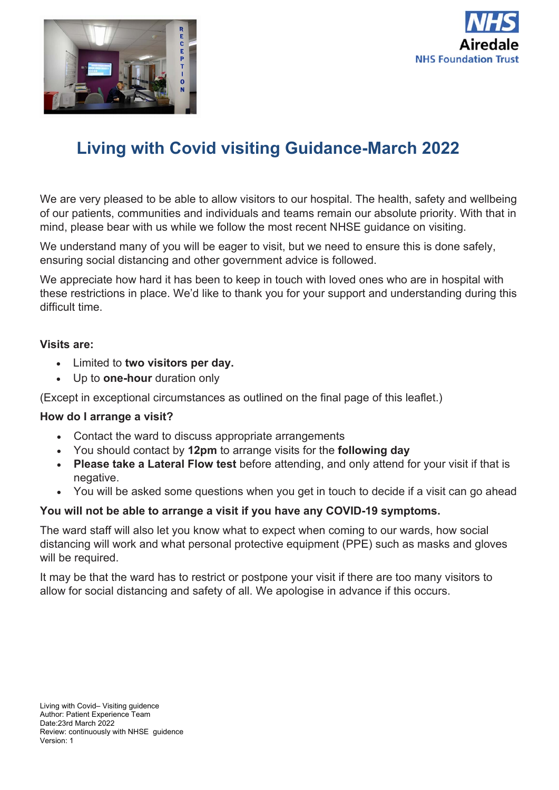



We are very pleased to be able to allow visitors to our hospital. The health, safety and wellbeing of our patients, communities and individuals and teams remain our absolute priority. With that in mind, please bear with us while we follow the most recent NHSE guidance on visiting.

We understand many of you will be eager to visit, but we need to ensure this is done safely, ensuring social distancing and other government advice is followed.

We appreciate how hard it has been to keep in touch with loved ones who are in hospital with these restrictions in place. We'd like to thank you for your support and understanding during this difficult time.

### **Visits are:**

- Limited to **two visitors per day.**
- Up to **one-hour** duration only

(Except in exceptional circumstances as outlined on the final page of this leaflet.)

### **How do I arrange a visit?**

- Contact the ward to discuss appropriate arrangements
- You should contact by **12pm** to arrange visits for the **following day**
- **Please take a Lateral Flow test** before attending, and only attend for your visit if that is negative.
- You will be asked some questions when you get in touch to decide if a visit can go ahead

### **You will not be able to arrange a visit if you have any COVID-19 symptoms.**

The ward staff will also let you know what to expect when coming to our wards, how social distancing will work and what personal protective equipment (PPE) such as masks and gloves will be required.

It may be that the ward has to restrict or postpone your visit if there are too many visitors to allow for social distancing and safety of all. We apologise in advance if this occurs.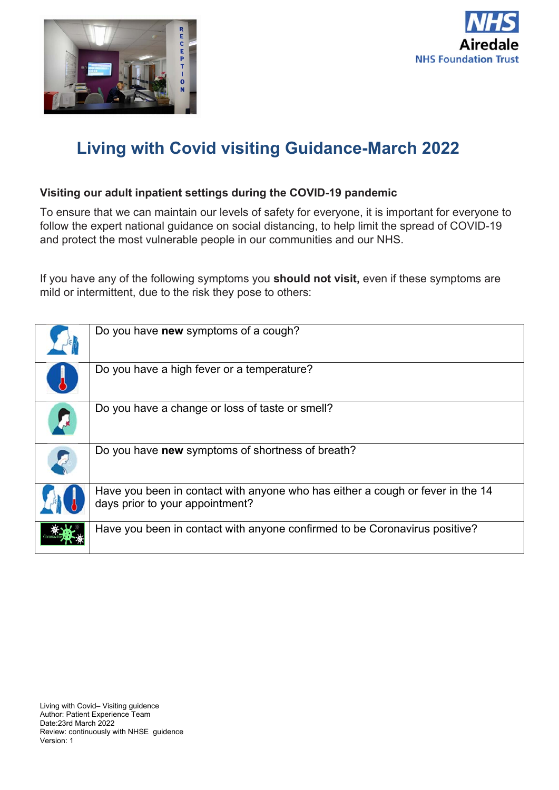



### **Visiting our adult inpatient settings during the COVID-19 pandemic**

To ensure that we can maintain our levels of safety for everyone, it is important for everyone to follow the expert national guidance on social distancing, to help limit the spread of COVID-19 and protect the most vulnerable people in our communities and our NHS.

If you have any of the following symptoms you **should not visit,** even if these symptoms are mild or intermittent, due to the risk they pose to others:

| Do you have new symptoms of a cough?                                                                              |
|-------------------------------------------------------------------------------------------------------------------|
| Do you have a high fever or a temperature?                                                                        |
| Do you have a change or loss of taste or smell?                                                                   |
| Do you have new symptoms of shortness of breath?                                                                  |
| Have you been in contact with anyone who has either a cough or fever in the 14<br>days prior to your appointment? |
| Have you been in contact with anyone confirmed to be Coronavirus positive?                                        |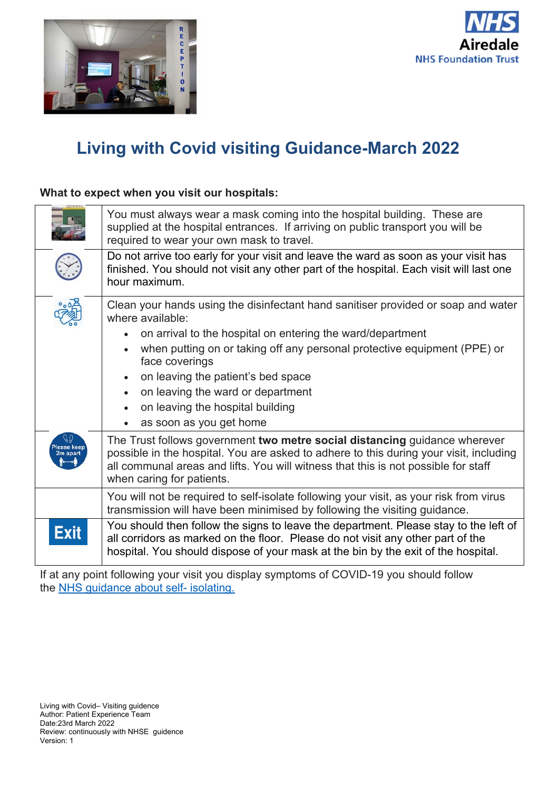



### **What to expect when you visit our hospitals:**

|      | You must always wear a mask coming into the hospital building. These are<br>supplied at the hospital entrances. If arriving on public transport you will be<br>required to wear your own mask to travel.                                                                                                                                                                                                    |
|------|-------------------------------------------------------------------------------------------------------------------------------------------------------------------------------------------------------------------------------------------------------------------------------------------------------------------------------------------------------------------------------------------------------------|
|      | Do not arrive too early for your visit and leave the ward as soon as your visit has<br>finished. You should not visit any other part of the hospital. Each visit will last one<br>hour maximum.                                                                                                                                                                                                             |
|      | Clean your hands using the disinfectant hand sanitiser provided or soap and water<br>where available:<br>on arrival to the hospital on entering the ward/department<br>when putting on or taking off any personal protective equipment (PPE) or<br>face coverings<br>on leaving the patient's bed space<br>on leaving the ward or department<br>on leaving the hospital building<br>as soon as you get home |
|      | The Trust follows government two metre social distancing guidance wherever<br>possible in the hospital. You are asked to adhere to this during your visit, including<br>all communal areas and lifts. You will witness that this is not possible for staff<br>when caring for patients.                                                                                                                     |
|      | You will not be required to self-isolate following your visit, as your risk from virus<br>transmission will have been minimised by following the visiting guidance.                                                                                                                                                                                                                                         |
| Exit | You should then follow the signs to leave the department. Please stay to the left of<br>all corridors as marked on the floor. Please do not visit any other part of the<br>hospital. You should dispose of your mask at the bin by the exit of the hospital.                                                                                                                                                |

If at any point following your visit you display symptoms of COVID-19 you should follow the NHS guidance about self- isolating.